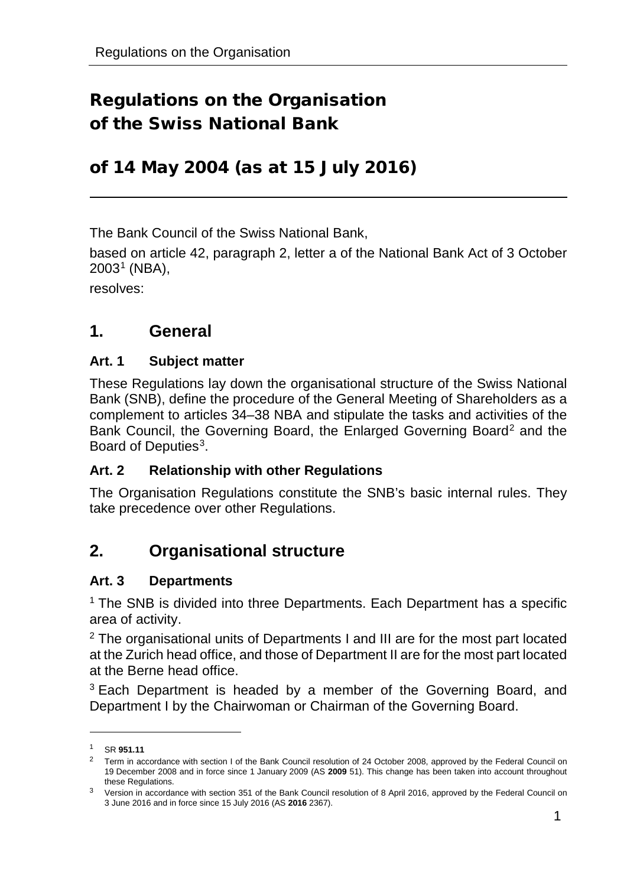# Regulations on the Organisation of the Swiss National Bank

# of 14 May 2004 (as at 15 July 2016)

The Bank Council of the Swiss National Bank,

based on article 42, paragraph 2, letter a of the National Bank Act of 3 October  $2003<sup>1</sup>$  $2003<sup>1</sup>$  $2003<sup>1</sup>$  (NBA),

resolves:

# **1. General**

#### **Art. 1 Subject matter**

These Regulations lay down the organisational structure of the Swiss National Bank (SNB), define the procedure of the General Meeting of Shareholders as a complement to articles 34–38 NBA and stipulate the tasks and activities of the Bank Council, the Governing Board, the Enlarged Governing Board<sup>[2](#page-0-1)</sup> and the Board of Deputies<sup>[3](#page-0-2)</sup>.

#### **Art. 2 Relationship with other Regulations**

The Organisation Regulations constitute the SNB's basic internal rules. They take precedence over other Regulations.

# **2. Organisational structure**

#### **Art. 3 Departments**

<sup>1</sup> The SNB is divided into three Departments. Each Department has a specific area of activity.

<sup>2</sup> The organisational units of Departments I and III are for the most part located at the Zurich head office, and those of Department II are for the most part located at the Berne head office.

 $3$  Each Department is headed by a member of the Governing Board, and Department I by the Chairwoman or Chairman of the Governing Board.

<span id="page-0-0"></span><sup>1</sup> SR **951.11**

<span id="page-0-1"></span><sup>&</sup>lt;sup>2</sup> Term in accordance with section I of the Bank Council resolution of 24 October 2008, approved by the Federal Council on 19 December 2008 and in force since 1 January 2009 (AS **2009** 51). This change has been taken into account throughout these Regulations.

<span id="page-0-2"></span><sup>&</sup>lt;sup>3</sup> Version in accordance with section 351 of the Bank Council resolution of 8 April 2016, approved by the Federal Council on 3 June 2016 and in force since 15 July 2016 (AS **2016** 2367).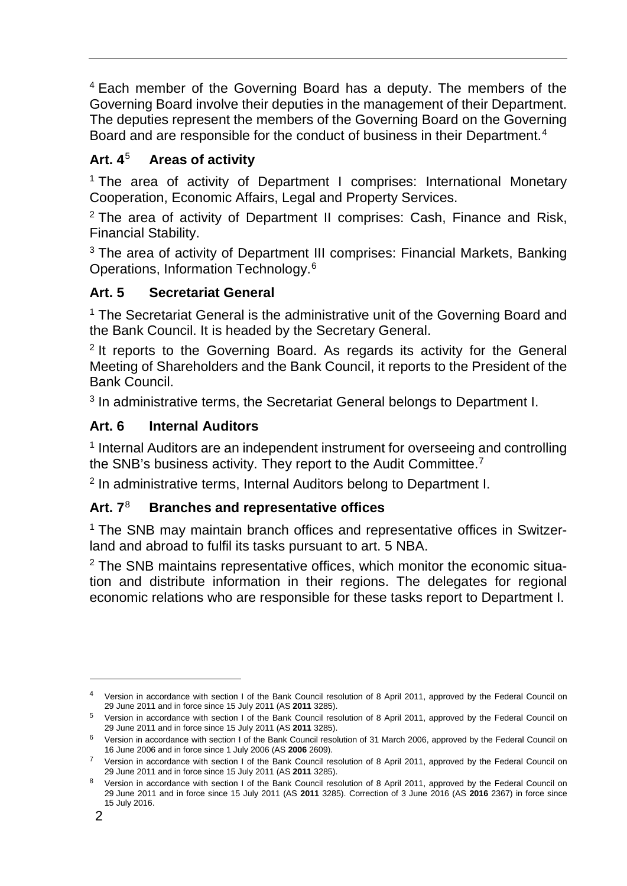<sup>4</sup> Each member of the Governing Board has a deputy. The members of the Governing Board involve their deputies in the management of their Department. The deputies represent the members of the Governing Board on the Governing Board and are responsible for the conduct of business in their Department.<sup>[4](#page-1-0)</sup>

# **Art. 4**[5](#page-1-1) **Areas of activity**

<sup>1</sup> The area of activity of Department I comprises: International Monetary Cooperation, Economic Affairs, Legal and Property Services.

<sup>2</sup> The area of activity of Department II comprises: Cash, Finance and Risk, Financial Stability.

<sup>3</sup> The area of activity of Department III comprises: Financial Markets, Banking Operations, Information Technology.[6](#page-1-2)

# **Art. 5 Secretariat General**

<sup>1</sup> The Secretariat General is the administrative unit of the Governing Board and the Bank Council. It is headed by the Secretary General.

<sup>2</sup> It reports to the Governing Board. As regards its activity for the General Meeting of Shareholders and the Bank Council, it reports to the President of the Bank Council.

<sup>3</sup> In administrative terms, the Secretariat General belongs to Department I.

# **Art. 6 Internal Auditors**

<sup>1</sup> Internal Auditors are an independent instrument for overseeing and controlling the SNB's business activity. They report to the Audit Committee.<sup>[7](#page-1-3)</sup>

<sup>2</sup> In administrative terms, Internal Auditors belong to Department I.

# **Art. 7**[8](#page-1-4) **Branches and representative offices**

<sup>1</sup> The SNB may maintain branch offices and representative offices in Switzerland and abroad to fulfil its tasks pursuant to art. 5 NBA.

<sup>2</sup> The SNB maintains representative offices, which monitor the economic situation and distribute information in their regions. The delegates for regional economic relations who are responsible for these tasks report to Department I.

<span id="page-1-0"></span><sup>4</sup> Version in accordance with section I of the Bank Council resolution of 8 April 2011, approved by the Federal Council on 29 June 2011 and in force since 15 July 2011 (AS **2011** 3285).

<span id="page-1-1"></span><sup>5</sup> Version in accordance with section I of the Bank Council resolution of 8 April 2011, approved by the Federal Council on 29 June 2011 and in force since 15 July 2011 (AS **2011** 3285).

<span id="page-1-2"></span> $6$  Version in accordance with section I of the Bank Council resolution of 31 March 2006, approved by the Federal Council on 16 June 2006 and in force since 1 July 2006 (AS **2006** 2609).

<span id="page-1-3"></span><sup>&</sup>lt;sup>7</sup> Version in accordance with section I of the Bank Council resolution of 8 April 2011, approved by the Federal Council on 29 June 2011 and in force since 15 July 2011 (AS **2011** 3285).

<span id="page-1-4"></span><sup>8</sup> Version in accordance with section I of the Bank Council resolution of 8 April 2011, approved by the Federal Council on 29 June 2011 and in force since 15 July 2011 (AS **2011** 3285). Correction of 3 June 2016 (AS **2016** 2367) in force since 15 July 2016.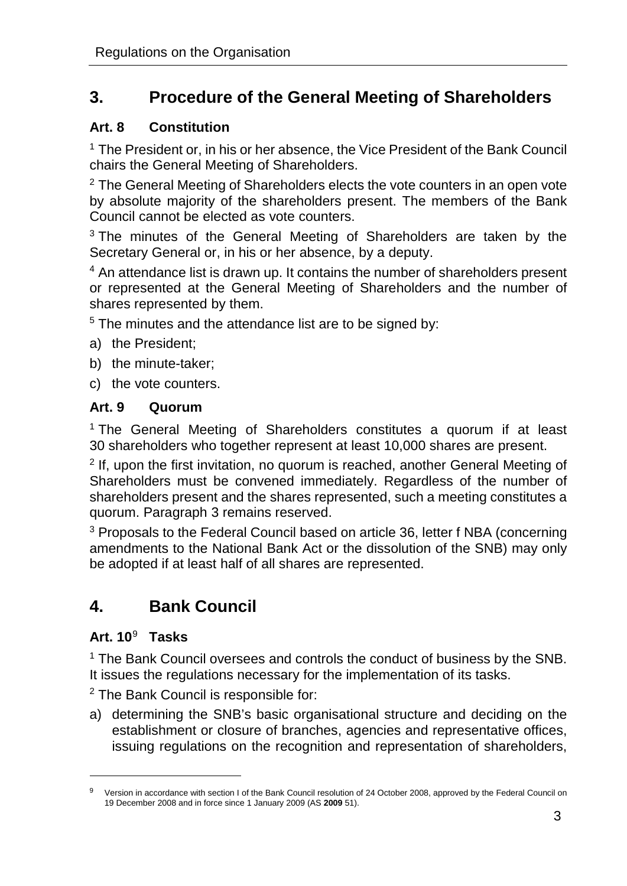# **3. Procedure of the General Meeting of Shareholders**

# **Art. 8 Constitution**

<sup>1</sup> The President or, in his or her absence, the Vice President of the Bank Council chairs the General Meeting of Shareholders.

 $2$  The General Meeting of Shareholders elects the vote counters in an open vote by absolute majority of the shareholders present. The members of the Bank Council cannot be elected as vote counters.

<sup>3</sup> The minutes of the General Meeting of Shareholders are taken by the Secretary General or, in his or her absence, by a deputy.

<sup>4</sup> An attendance list is drawn up. It contains the number of shareholders present or represented at the General Meeting of Shareholders and the number of shares represented by them.

 $5$  The minutes and the attendance list are to be signed by:

- a) the President;
- b) the minute-taker;
- c) the vote counters.

# **Art. 9 Quorum**

<sup>1</sup> The General Meeting of Shareholders constitutes a quorum if at least 30 shareholders who together represent at least 10,000 shares are present.

 $2$  If, upon the first invitation, no quorum is reached, another General Meeting of Shareholders must be convened immediately. Regardless of the number of shareholders present and the shares represented, such a meeting constitutes a quorum. Paragraph 3 remains reserved.

<sup>3</sup> Proposals to the Federal Council based on article 36, letter f NBA (concerning amendments to the National Bank Act or the dissolution of the SNB) may only be adopted if at least half of all shares are represented.

# **4. Bank Council**

# **Art. 10**[9](#page-2-0) **Tasks**

-

<sup>1</sup> The Bank Council oversees and controls the conduct of business by the SNB. It issues the regulations necessary for the implementation of its tasks.

<sup>2</sup> The Bank Council is responsible for:

a) determining the SNB's basic organisational structure and deciding on the establishment or closure of branches, agencies and representative offices, issuing regulations on the recognition and representation of shareholders,

<span id="page-2-0"></span><sup>&</sup>lt;sup>9</sup> Version in accordance with section I of the Bank Council resolution of 24 October 2008, approved by the Federal Council on 19 December 2008 and in force since 1 January 2009 (AS **2009** 51).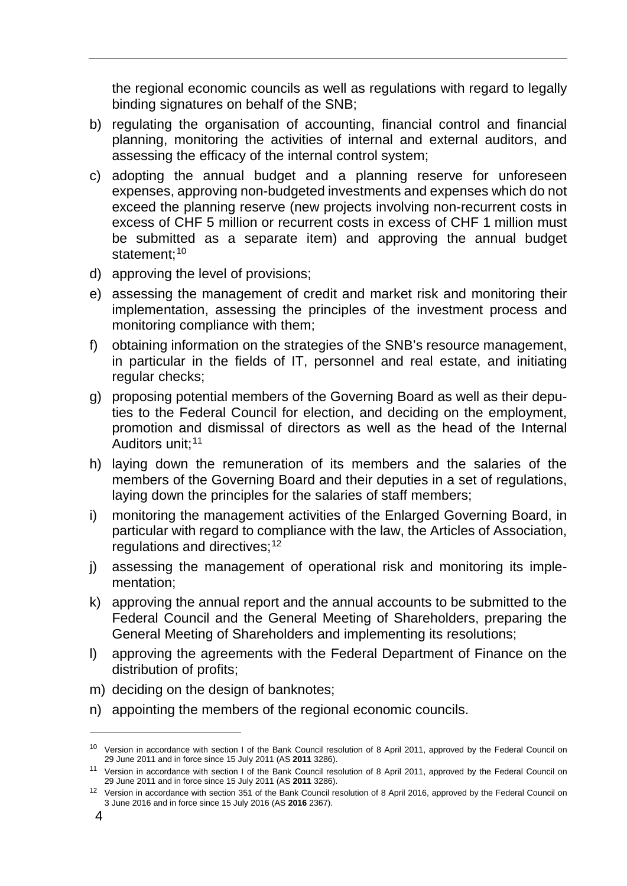the regional economic councils as well as regulations with regard to legally binding signatures on behalf of the SNB;

- b) regulating the organisation of accounting, financial control and financial planning, monitoring the activities of internal and external auditors, and assessing the efficacy of the internal control system;
- c) adopting the annual budget and a planning reserve for unforeseen expenses, approving non-budgeted investments and expenses which do not exceed the planning reserve (new projects involving non-recurrent costs in excess of CHF 5 million or recurrent costs in excess of CHF 1 million must be submitted as a separate item) and approving the annual budget statement;<sup>[10](#page-3-0)</sup>
- d) approving the level of provisions;
- e) assessing the management of credit and market risk and monitoring their implementation, assessing the principles of the investment process and monitoring compliance with them;
- f) obtaining information on the strategies of the SNB's resource management, in particular in the fields of IT, personnel and real estate, and initiating regular checks;
- g) proposing potential members of the Governing Board as well as their deputies to the Federal Council for election, and deciding on the employment, promotion and dismissal of directors as well as the head of the Internal Auditors unit;<sup>[11](#page-3-1)</sup>
- h) laying down the remuneration of its members and the salaries of the members of the Governing Board and their deputies in a set of regulations, laying down the principles for the salaries of staff members;
- i) monitoring the management activities of the Enlarged Governing Board, in particular with regard to compliance with the law, the Articles of Association, regulations and directives;<sup>[12](#page-3-2)</sup>
- j) assessing the management of operational risk and monitoring its implementation;
- k) approving the annual report and the annual accounts to be submitted to the Federal Council and the General Meeting of Shareholders, preparing the General Meeting of Shareholders and implementing its resolutions;
- l) approving the agreements with the Federal Department of Finance on the distribution of profits;
- m) deciding on the design of banknotes;
- n) appointing the members of the regional economic councils.

<span id="page-3-0"></span><sup>&</sup>lt;sup>10</sup> Version in accordance with section I of the Bank Council resolution of 8 April 2011, approved by the Federal Council on 29 June 2011 and in force since 15 July 2011 (AS **2011** 3286).

<span id="page-3-1"></span><sup>11</sup> Version in accordance with section I of the Bank Council resolution of 8 April 2011, approved by the Federal Council on 29 June 2011 and in force since 15 July 2011 (AS **2011** 3286).

<span id="page-3-2"></span><sup>&</sup>lt;sup>12</sup> Version in accordance with section 351 of the Bank Council resolution of 8 April 2016, approved by the Federal Council on 3 June 2016 and in force since 15 July 2016 (AS **2016** 2367).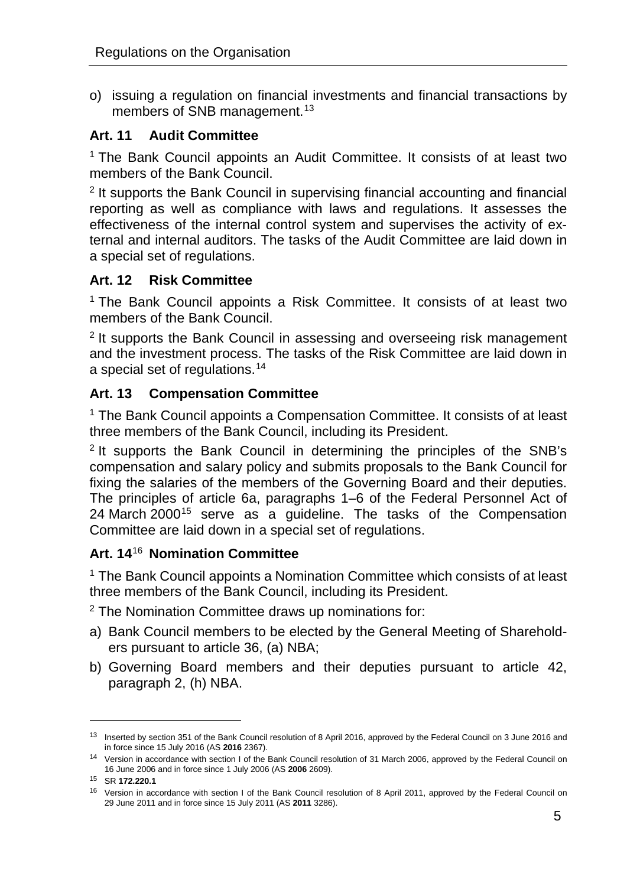o) issuing a regulation on financial investments and financial transactions by members of SNB management.<sup>[13](#page-4-0)</sup>

#### **Art. 11 Audit Committee**

<sup>1</sup> The Bank Council appoints an Audit Committee. It consists of at least two members of the Bank Council.

<sup>2</sup> It supports the Bank Council in supervising financial accounting and financial reporting as well as compliance with laws and regulations. It assesses the effectiveness of the internal control system and supervises the activity of external and internal auditors. The tasks of the Audit Committee are laid down in a special set of regulations.

#### **Art. 12 Risk Committee**

<sup>1</sup> The Bank Council appoints a Risk Committee. It consists of at least two members of the Bank Council.

<sup>2</sup> It supports the Bank Council in assessing and overseeing risk management and the investment process. The tasks of the Risk Committee are laid down in a special set of regulations.[14](#page-4-1)

#### **Art. 13 Compensation Committee**

<sup>1</sup> The Bank Council appoints a Compensation Committee. It consists of at least three members of the Bank Council, including its President.

<sup>2</sup> It supports the Bank Council in determining the principles of the SNB's compensation and salary policy and submits proposals to the Bank Council for fixing the salaries of the members of the Governing Board and their deputies. The principles of article 6a, paragraphs 1–6 of the Federal Personnel Act of 24 March 2000<sup>[15](#page-4-2)</sup> serve as a guideline. The tasks of the Compensation Committee are laid down in a special set of regulations.

# **Art. 14**[16](#page-4-3) **Nomination Committee**

<sup>1</sup> The Bank Council appoints a Nomination Committee which consists of at least three members of the Bank Council, including its President.

<sup>2</sup> The Nomination Committee draws up nominations for:

- a) Bank Council members to be elected by the General Meeting of Shareholders pursuant to article 36, (a) NBA;
- b) Governing Board members and their deputies pursuant to article 42, paragraph 2, (h) NBA.

<span id="page-4-0"></span><sup>13</sup> Inserted by section 351 of the Bank Council resolution of 8 April 2016, approved by the Federal Council on 3 June 2016 and in force since 15 July 2016 (AS **2016** 2367).

<span id="page-4-1"></span><sup>14</sup> Version in accordance with section I of the Bank Council resolution of 31 March 2006, approved by the Federal Council on 16 June 2006 and in force since 1 July 2006 (AS **2006** 2609).

<span id="page-4-2"></span><sup>15</sup> SR **172.220.1**

<span id="page-4-3"></span><sup>&</sup>lt;sup>16</sup> Version in accordance with section I of the Bank Council resolution of 8 April 2011, approved by the Federal Council on 29 June 2011 and in force since 15 July 2011 (AS **2011** 3286).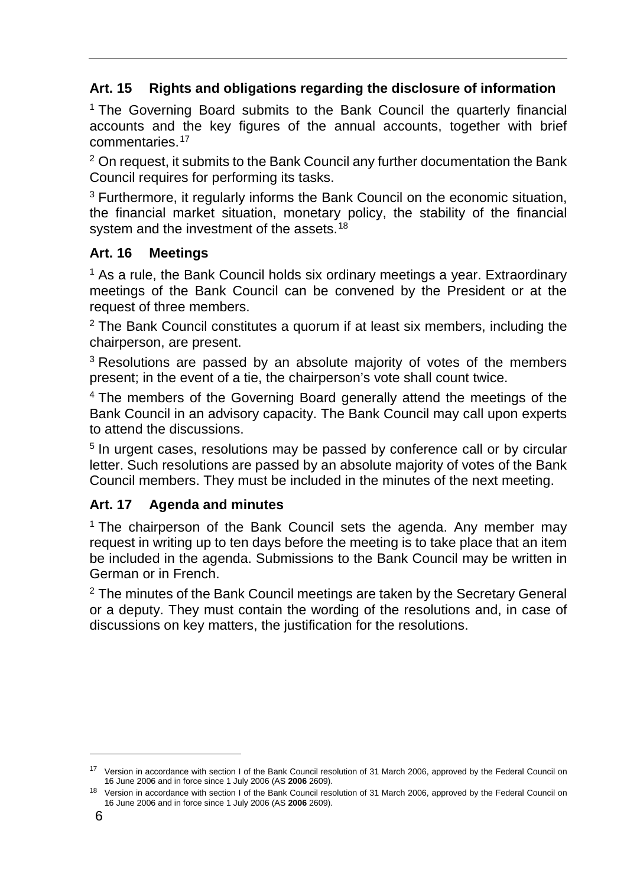# **Art. 15 Rights and obligations regarding the disclosure of information**

<sup>1</sup> The Governing Board submits to the Bank Council the quarterly financial accounts and the key figures of the annual accounts, together with brief commentaries.<sup>[17](#page-5-0)</sup>

 $2$  On request, it submits to the Bank Council any further documentation the Bank Council requires for performing its tasks.

<sup>3</sup> Furthermore, it regularly informs the Bank Council on the economic situation, the financial market situation, monetary policy, the stability of the financial system and the investment of the assets.<sup>[18](#page-5-1)</sup>

# **Art. 16 Meetings**

 $1$  As a rule, the Bank Council holds six ordinary meetings a year. Extraordinary meetings of the Bank Council can be convened by the President or at the request of three members.

 $2$  The Bank Council constitutes a quorum if at least six members, including the chairperson, are present.

<sup>3</sup> Resolutions are passed by an absolute majority of votes of the members present; in the event of a tie, the chairperson's vote shall count twice.

<sup>4</sup> The members of the Governing Board generally attend the meetings of the Bank Council in an advisory capacity. The Bank Council may call upon experts to attend the discussions.

<sup>5</sup> In urgent cases, resolutions may be passed by conference call or by circular letter. Such resolutions are passed by an absolute majority of votes of the Bank Council members. They must be included in the minutes of the next meeting.

# **Art. 17 Agenda and minutes**

<sup>1</sup> The chairperson of the Bank Council sets the agenda. Any member may request in writing up to ten days before the meeting is to take place that an item be included in the agenda. Submissions to the Bank Council may be written in German or in French.

<sup>2</sup> The minutes of the Bank Council meetings are taken by the Secretary General or a deputy. They must contain the wording of the resolutions and, in case of discussions on key matters, the justification for the resolutions.

<span id="page-5-0"></span><sup>&</sup>lt;sup>17</sup> Version in accordance with section I of the Bank Council resolution of 31 March 2006, approved by the Federal Council on 16 June 2006 and in force since 1 July 2006 (AS **2006** 2609).

<span id="page-5-1"></span><sup>&</sup>lt;sup>18</sup> Version in accordance with section I of the Bank Council resolution of 31 March 2006, approved by the Federal Council on 16 June 2006 and in force since 1 July 2006 (AS **2006** 2609).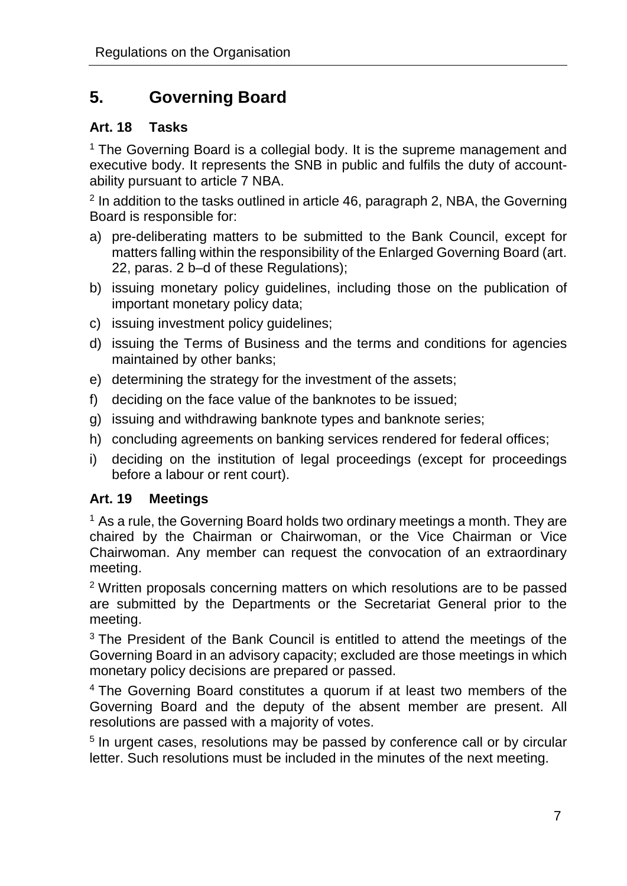# **5. Governing Board**

#### **Art. 18 Tasks**

<sup>1</sup> The Governing Board is a collegial body. It is the supreme management and executive body. It represents the SNB in public and fulfils the duty of accountability pursuant to article 7 NBA.

 $2$  In addition to the tasks outlined in article 46, paragraph 2, NBA, the Governing Board is responsible for:

- a) pre-deliberating matters to be submitted to the Bank Council, except for matters falling within the responsibility of the Enlarged Governing Board (art. 22, paras. 2 b–d of these Regulations);
- b) issuing monetary policy guidelines, including those on the publication of important monetary policy data;
- c) issuing investment policy guidelines;
- d) issuing the Terms of Business and the terms and conditions for agencies maintained by other banks;
- e) determining the strategy for the investment of the assets;
- f) deciding on the face value of the banknotes to be issued;
- g) issuing and withdrawing banknote types and banknote series;
- h) concluding agreements on banking services rendered for federal offices;
- i) deciding on the institution of legal proceedings (except for proceedings before a labour or rent court).

#### **Art. 19 Meetings**

 $1$  As a rule, the Governing Board holds two ordinary meetings a month. They are chaired by the Chairman or Chairwoman, or the Vice Chairman or Vice Chairwoman. Any member can request the convocation of an extraordinary meeting.

<sup>2</sup> Written proposals concerning matters on which resolutions are to be passed are submitted by the Departments or the Secretariat General prior to the meeting.

<sup>3</sup> The President of the Bank Council is entitled to attend the meetings of the Governing Board in an advisory capacity; excluded are those meetings in which monetary policy decisions are prepared or passed.

<sup>4</sup> The Governing Board constitutes a quorum if at least two members of the Governing Board and the deputy of the absent member are present. All resolutions are passed with a majority of votes.

<sup>5</sup> In urgent cases, resolutions may be passed by conference call or by circular letter. Such resolutions must be included in the minutes of the next meeting.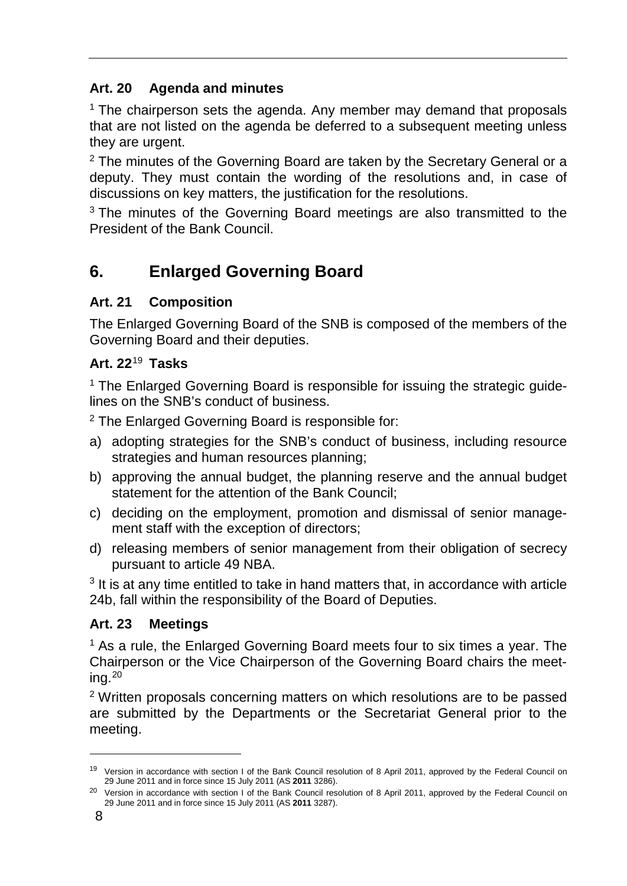# **Art. 20 Agenda and minutes**

 $1$  The chairperson sets the agenda. Any member may demand that proposals that are not listed on the agenda be deferred to a subsequent meeting unless they are urgent.

 $2$  The minutes of the Governing Board are taken by the Secretary General or a deputy. They must contain the wording of the resolutions and, in case of discussions on key matters, the justification for the resolutions.

<sup>3</sup> The minutes of the Governing Board meetings are also transmitted to the President of the Bank Council.

# **6. Enlarged Governing Board**

# **Art. 21 Composition**

The Enlarged Governing Board of the SNB is composed of the members of the Governing Board and their deputies.

# **Art. 22**[19](#page-7-0) **Tasks**

<sup>1</sup> The Enlarged Governing Board is responsible for issuing the strategic guidelines on the SNB's conduct of business.

<sup>2</sup> The Enlarged Governing Board is responsible for:

- a) adopting strategies for the SNB's conduct of business, including resource strategies and human resources planning;
- b) approving the annual budget, the planning reserve and the annual budget statement for the attention of the Bank Council;
- c) deciding on the employment, promotion and dismissal of senior management staff with the exception of directors;
- d) releasing members of senior management from their obligation of secrecy pursuant to article 49 NBA.

<sup>3</sup> It is at any time entitled to take in hand matters that, in accordance with article 24b, fall within the responsibility of the Board of Deputies.

# **Art. 23 Meetings**

 $<sup>1</sup>$  As a rule, the Enlarged Governing Board meets four to six times a year. The</sup> Chairperson or the Vice Chairperson of the Governing Board chairs the meeting. $^{20}$  $^{20}$  $^{20}$ 

<sup>2</sup> Written proposals concerning matters on which resolutions are to be passed are submitted by the Departments or the Secretariat General prior to the meeting.

<span id="page-7-0"></span><sup>&</sup>lt;sup>19</sup> Version in accordance with section I of the Bank Council resolution of 8 April 2011, approved by the Federal Council on 29 June 2011 and in force since 15 July 2011 (AS **2011** 3286).

<span id="page-7-1"></span><sup>&</sup>lt;sup>20</sup> Version in accordance with section I of the Bank Council resolution of 8 April 2011, approved by the Federal Council on 29 June 2011 and in force since 15 July 2011 (AS **2011** 3287).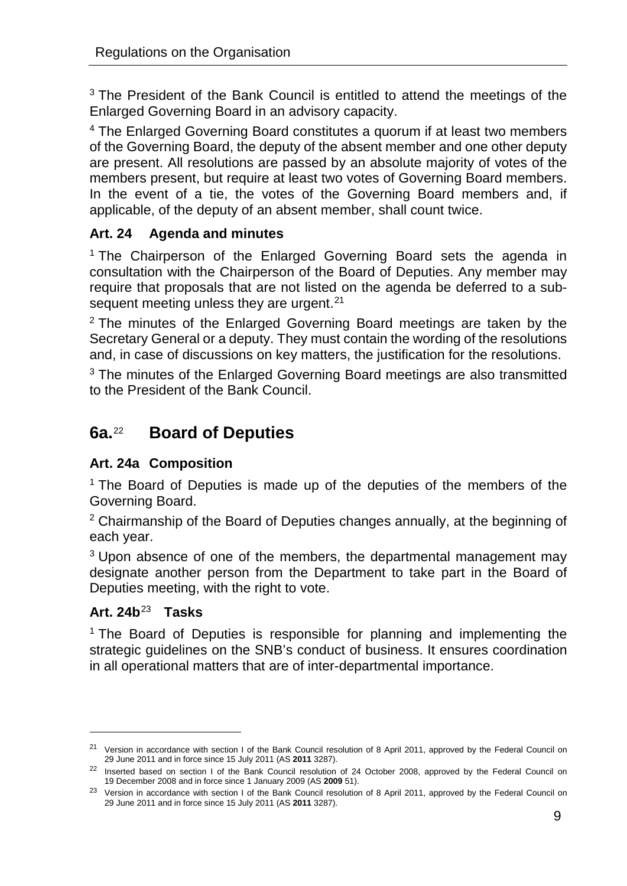<sup>3</sup> The President of the Bank Council is entitled to attend the meetings of the Enlarged Governing Board in an advisory capacity.

<sup>4</sup> The Enlarged Governing Board constitutes a quorum if at least two members of the Governing Board, the deputy of the absent member and one other deputy are present. All resolutions are passed by an absolute majority of votes of the members present, but require at least two votes of Governing Board members. In the event of a tie, the votes of the Governing Board members and, if applicable, of the deputy of an absent member, shall count twice.

# **Art. 24 Agenda and minutes**

<sup>1</sup> The Chairperson of the Enlarged Governing Board sets the agenda in consultation with the Chairperson of the Board of Deputies. Any member may require that proposals that are not listed on the agenda be deferred to a subsequent meeting unless they are urgent.  $21$ 

 $2$  The minutes of the Enlarged Governing Board meetings are taken by the Secretary General or a deputy. They must contain the wording of the resolutions and, in case of discussions on key matters, the justification for the resolutions.

<sup>3</sup> The minutes of the Enlarged Governing Board meetings are also transmitted to the President of the Bank Council.

# **6a.**[22](#page-8-1) **Board of Deputies**

# **Art. 24a Composition**

<sup>1</sup> The Board of Deputies is made up of the deputies of the members of the Governing Board.

<sup>2</sup> Chairmanship of the Board of Deputies changes annually, at the beginning of each year.

<sup>3</sup> Upon absence of one of the members, the departmental management may designate another person from the Department to take part in the Board of Deputies meeting, with the right to vote.

# **Art. 24b**[23](#page-8-2) **Tasks**

-

<sup>1</sup> The Board of Deputies is responsible for planning and implementing the strategic guidelines on the SNB's conduct of business. It ensures coordination in all operational matters that are of inter-departmental importance.

<span id="page-8-0"></span><sup>&</sup>lt;sup>21</sup> Version in accordance with section I of the Bank Council resolution of 8 April 2011, approved by the Federal Council on 29 June 2011 and in force since 15 July 2011 (AS **2011** 3287).

<span id="page-8-1"></span><sup>&</sup>lt;sup>22</sup> Inserted based on section I of the Bank Council resolution of 24 October 2008, approved by the Federal Council on 19 December 2008 and in force since 1 January 2009 (AS **2009** 51).

<span id="page-8-2"></span><sup>&</sup>lt;sup>23</sup> Version in accordance with section I of the Bank Council resolution of 8 April 2011, approved by the Federal Council on 29 June 2011 and in force since 15 July 2011 (AS **2011** 3287).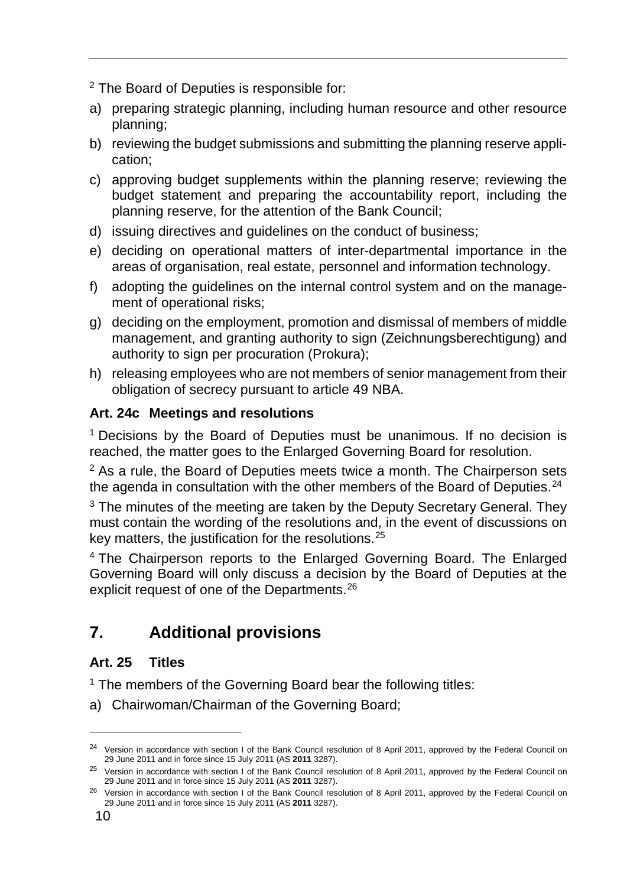<sup>2</sup> The Board of Deputies is responsible for:

- a) preparing strategic planning, including human resource and other resource planning;
- b) reviewing the budget submissions and submitting the planning reserve application;
- c) approving budget supplements within the planning reserve; reviewing the budget statement and preparing the accountability report, including the planning reserve, for the attention of the Bank Council;
- d) issuing directives and guidelines on the conduct of business;
- e) deciding on operational matters of inter-departmental importance in the areas of organisation, real estate, personnel and information technology.
- f) adopting the guidelines on the internal control system and on the management of operational risks;
- g) deciding on the employment, promotion and dismissal of members of middle management, and granting authority to sign (Zeichnungsberechtigung) and authority to sign per procuration (Prokura);
- h) releasing employees who are not members of senior management from their obligation of secrecy pursuant to article 49 NBA.

# **Art. 24c Meetings and resolutions**

<sup>1</sup> Decisions by the Board of Deputies must be unanimous. If no decision is reached, the matter goes to the Enlarged Governing Board for resolution.

 $2$  As a rule, the Board of Deputies meets twice a month. The Chairperson sets the agenda in consultation with the other members of the Board of Deputies. $24$ 

<sup>3</sup> The minutes of the meeting are taken by the Deputy Secretary General. They must contain the wording of the resolutions and, in the event of discussions on key matters, the justification for the resolutions.[25](#page-9-1)

<sup>4</sup> The Chairperson reports to the Enlarged Governing Board. The Enlarged Governing Board will only discuss a decision by the Board of Deputies at the explicit request of one of the Departments.[26](#page-9-2)

# **7. Additional provisions**

# **Art. 25 Titles**

<sup>1</sup> The members of the Governing Board bear the following titles:

a) Chairwoman/Chairman of the Governing Board;

<span id="page-9-0"></span><sup>&</sup>lt;sup>24</sup> Version in accordance with section I of the Bank Council resolution of 8 April 2011, approved by the Federal Council on 29 June 2011 and in force since 15 July 2011 (AS **2011** 3287).

<span id="page-9-1"></span><sup>&</sup>lt;sup>25</sup> Version in accordance with section I of the Bank Council resolution of 8 April 2011, approved by the Federal Council on 29 June 2011 and in force since 15 July 2011 (AS **2011** 3287).

<span id="page-9-2"></span><sup>&</sup>lt;sup>26</sup> Version in accordance with section I of the Bank Council resolution of 8 April 2011, approved by the Federal Council on 29 June 2011 and in force since 15 July 2011 (AS **2011** 3287).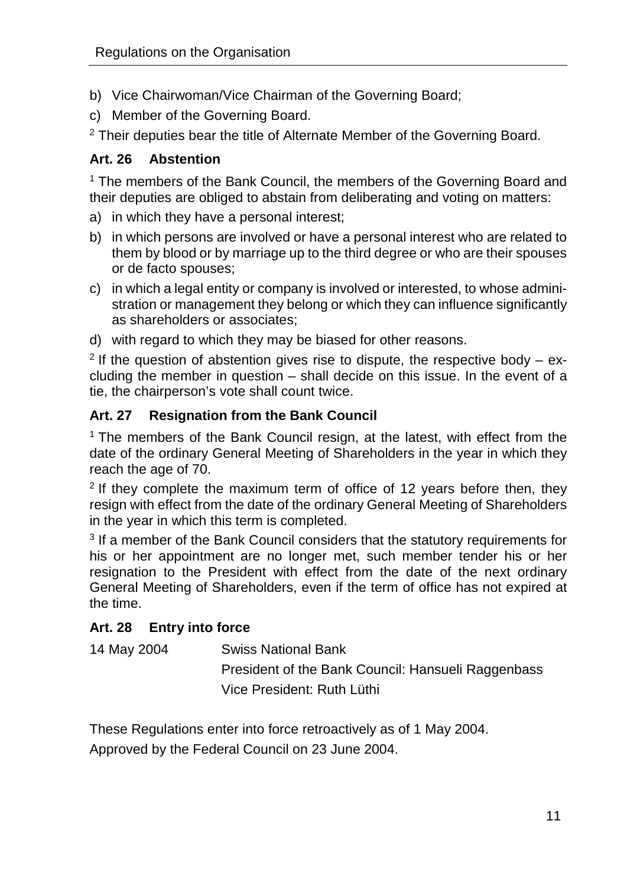- b) Vice Chairwoman/Vice Chairman of the Governing Board;
- c) Member of the Governing Board.

 $2$  Their deputies bear the title of Alternate Member of the Governing Board.

#### **Art. 26 Abstention**

<sup>1</sup> The members of the Bank Council, the members of the Governing Board and their deputies are obliged to abstain from deliberating and voting on matters:

- a) in which they have a personal interest;
- b) in which persons are involved or have a personal interest who are related to them by blood or by marriage up to the third degree or who are their spouses or de facto spouses;
- c) in which a legal entity or company is involved or interested, to whose administration or management they belong or which they can influence significantly as shareholders or associates;
- d) with regard to which they may be biased for other reasons.

<sup>2</sup> If the question of abstention gives rise to dispute, the respective body – excluding the member in question – shall decide on this issue. In the event of a tie, the chairperson's vote shall count twice.

# **Art. 27 Resignation from the Bank Council**

<sup>1</sup> The members of the Bank Council resign, at the latest, with effect from the date of the ordinary General Meeting of Shareholders in the year in which they reach the age of 70.

 $2$  If they complete the maximum term of office of 12 years before then, they resign with effect from the date of the ordinary General Meeting of Shareholders in the year in which this term is completed.

<sup>3</sup> If a member of the Bank Council considers that the statutory requirements for his or her appointment are no longer met, such member tender his or her resignation to the President with effect from the date of the next ordinary General Meeting of Shareholders, even if the term of office has not expired at the time.

# **Art. 28 Entry into force**

14 May 2004 Swiss National Bank

President of the Bank Council: Hansueli Raggenbass Vice President: Ruth Lüthi

These Regulations enter into force retroactively as of 1 May 2004.

Approved by the Federal Council on 23 June 2004.